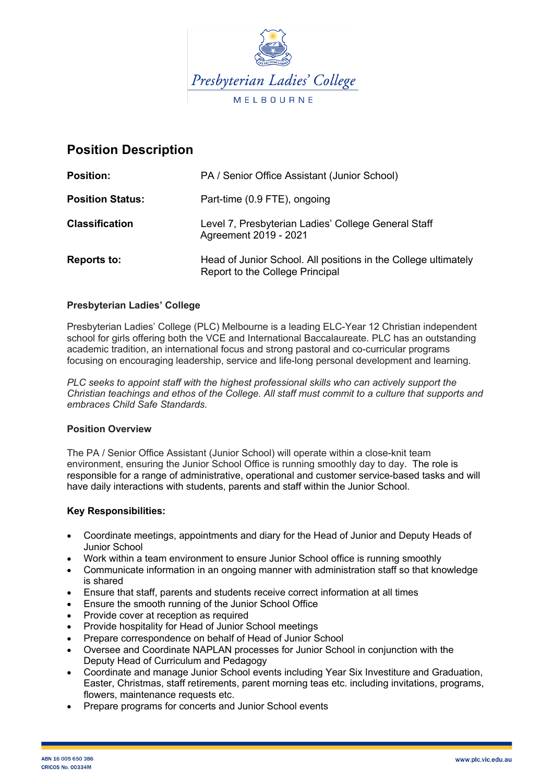

# **Position Description**

| PA / Senior Office Assistant (Junior School)                                                      |
|---------------------------------------------------------------------------------------------------|
| Part-time (0.9 FTE), ongoing                                                                      |
| Level 7, Presbyterian Ladies' College General Staff<br>Agreement 2019 - 2021                      |
| Head of Junior School. All positions in the College ultimately<br>Report to the College Principal |
|                                                                                                   |

# **Presbyterian Ladies' College**

Presbyterian Ladies' College (PLC) Melbourne is a leading ELC-Year 12 Christian independent school for girls offering both the VCE and International Baccalaureate. PLC has an outstanding academic tradition, an international focus and strong pastoral and co-curricular programs focusing on encouraging leadership, service and life-long personal development and learning.

*PLC seeks to appoint staff with the highest professional skills who can actively support the Christian teachings and ethos of the College. All staff must commit to a culture that supports and embraces Child Safe Standards.*

### **Position Overview**

The PA / Senior Office Assistant (Junior School) will operate within a close-knit team environment, ensuring the Junior School Office is running smoothly day to day. The role is responsible for a range of administrative, operational and customer service-based tasks and will have daily interactions with students, parents and staff within the Junior School.

### **Key Responsibilities:**

- Coordinate meetings, appointments and diary for the Head of Junior and Deputy Heads of Junior School
- Work within a team environment to ensure Junior School office is running smoothly
- Communicate information in an ongoing manner with administration staff so that knowledge is shared
- Ensure that staff, parents and students receive correct information at all times
- Ensure the smooth running of the Junior School Office
- Provide cover at reception as required
- Provide hospitality for Head of Junior School meetings
- Prepare correspondence on behalf of Head of Junior School
- Oversee and Coordinate NAPLAN processes for Junior School in conjunction with the Deputy Head of Curriculum and Pedagogy
- Coordinate and manage Junior School events including Year Six Investiture and Graduation, Easter, Christmas, staff retirements, parent morning teas etc. including invitations, programs, flowers, maintenance requests etc.
- Prepare programs for concerts and Junior School events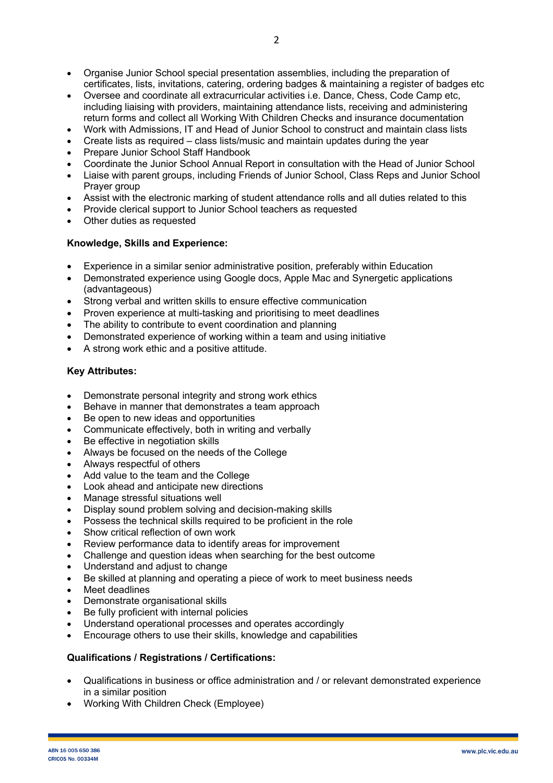- Organise Junior School special presentation assemblies, including the preparation of certificates, lists, invitations, catering, ordering badges & maintaining a register of badges etc
- Oversee and coordinate all extracurricular activities i.e. Dance, Chess, Code Camp etc, including liaising with providers, maintaining attendance lists, receiving and administering return forms and collect all Working With Children Checks and insurance documentation
- Work with Admissions, IT and Head of Junior School to construct and maintain class lists
- Create lists as required class lists/music and maintain updates during the year
- Prepare Junior School Staff Handbook
- Coordinate the Junior School Annual Report in consultation with the Head of Junior School
- Liaise with parent groups, including Friends of Junior School, Class Reps and Junior School Prayer group
- Assist with the electronic marking of student attendance rolls and all duties related to this
- Provide clerical support to Junior School teachers as requested
- Other duties as requested

# **Knowledge, Skills and Experience:**

- Experience in a similar senior administrative position, preferably within Education
- Demonstrated experience using Google docs, Apple Mac and Synergetic applications (advantageous)
- Strong verbal and written skills to ensure effective communication
- Proven experience at multi-tasking and prioritising to meet deadlines
- The ability to contribute to event coordination and planning
- Demonstrated experience of working within a team and using initiative
- A strong work ethic and a positive attitude.

# **Key Attributes:**

- Demonstrate personal integrity and strong work ethics
- Behave in manner that demonstrates a team approach
- Be open to new ideas and opportunities
- Communicate effectively, both in writing and verbally
- Be effective in negotiation skills
- Always be focused on the needs of the College
- Always respectful of others
- Add value to the team and the College
- Look ahead and anticipate new directions
- Manage stressful situations well
- Display sound problem solving and decision-making skills
- Possess the technical skills required to be proficient in the role
- Show critical reflection of own work
- Review performance data to identify areas for improvement
- Challenge and question ideas when searching for the best outcome
- Understand and adjust to change
- Be skilled at planning and operating a piece of work to meet business needs
- Meet deadlines
- Demonstrate organisational skills
- Be fully proficient with internal policies
- Understand operational processes and operates accordingly
- Encourage others to use their skills, knowledge and capabilities

### **Qualifications / Registrations / Certifications:**

- Qualifications in business or office administration and / or relevant demonstrated experience in a similar position
- Working With Children Check (Employee)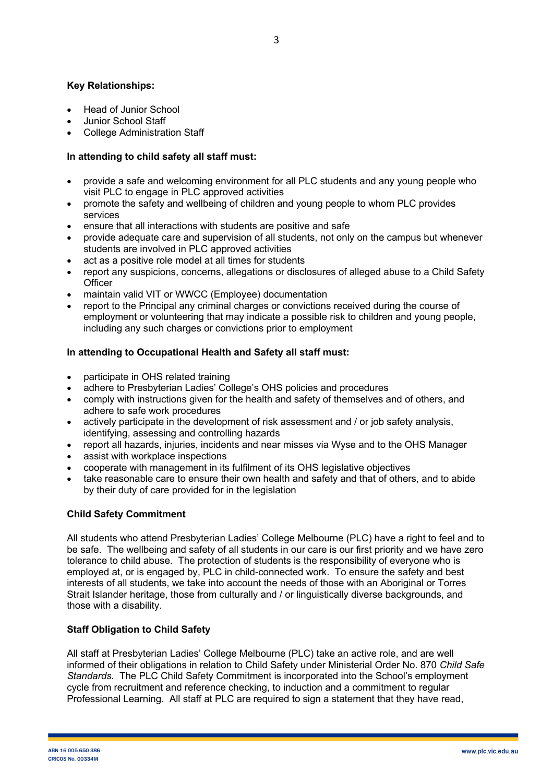# **Key Relationships:**

- Head of Junior School
- Junior School Staff
- College Administration Staff

## **In attending to child safety all staff must:**

- provide a safe and welcoming environment for all PLC students and any young people who visit PLC to engage in PLC approved activities
- promote the safety and wellbeing of children and young people to whom PLC provides services
- ensure that all interactions with students are positive and safe
- provide adequate care and supervision of all students, not only on the campus but whenever students are involved in PLC approved activities
- act as a positive role model at all times for students
- report any suspicions, concerns, allegations or disclosures of alleged abuse to a Child Safety **Officer**
- maintain valid VIT or WWCC (Employee) documentation
- report to the Principal any criminal charges or convictions received during the course of employment or volunteering that may indicate a possible risk to children and young people, including any such charges or convictions prior to employment

# **In attending to Occupational Health and Safety all staff must:**

- participate in OHS related training
- adhere to Presbyterian Ladies' College's OHS policies and procedures
- comply with instructions given for the health and safety of themselves and of others, and adhere to safe work procedures
- actively participate in the development of risk assessment and / or job safety analysis, identifying, assessing and controlling hazards
- report all hazards, injuries, incidents and near misses via Wyse and to the OHS Manager
- assist with workplace inspections
- cooperate with management in its fulfilment of its OHS legislative objectives
- take reasonable care to ensure their own health and safety and that of others, and to abide by their duty of care provided for in the legislation

### **Child Safety Commitment**

All students who attend Presbyterian Ladies' College Melbourne (PLC) have a right to feel and to be safe. The wellbeing and safety of all students in our care is our first priority and we have zero tolerance to child abuse. The protection of students is the responsibility of everyone who is employed at, or is engaged by, PLC in child-connected work. To ensure the safety and best interests of all students, we take into account the needs of those with an Aboriginal or Torres Strait Islander heritage, those from culturally and / or linguistically diverse backgrounds, and those with a disability.

### **Staff Obligation to Child Safety**

All staff at Presbyterian Ladies' College Melbourne (PLC) take an active role, and are well informed of their obligations in relation to Child Safety under Ministerial Order No. 870 *Child Safe Standards.* The PLC Child Safety Commitment is incorporated into the School's employment cycle from recruitment and reference checking, to induction and a commitment to regular Professional Learning. All staff at PLC are required to sign a statement that they have read,